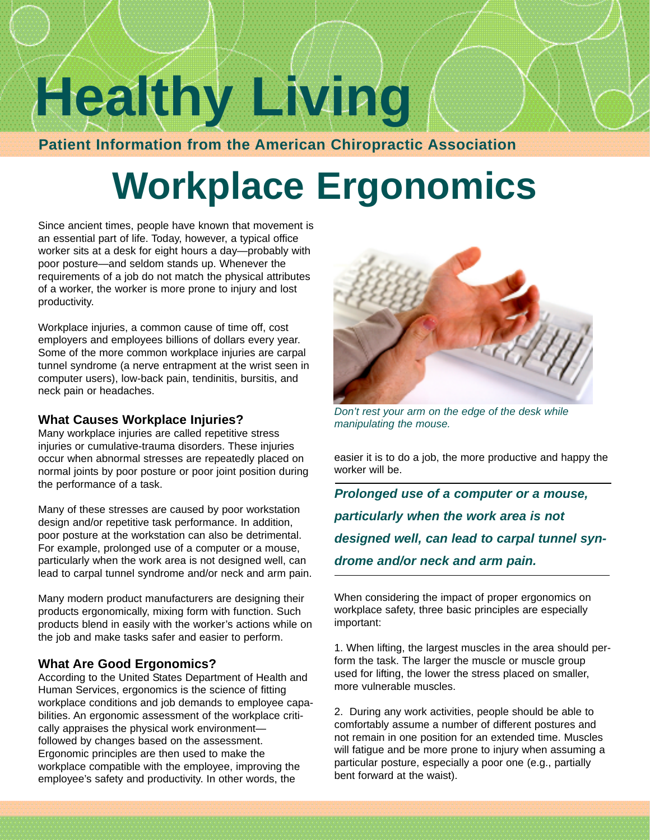# **Healthy Living**

**Patient Information from the American Chiropractic Association**

# **Workplace Ergonomics**

Since ancient times, people have known that movement is an essential part of life. Today, however, a typical office worker sits at a desk for eight hours a day—probably with poor posture—and seldom stands up. Whenever the requirements of a job do not match the physical attributes of a worker, the worker is more prone to injury and lost productivity.

Workplace injuries, a common cause of time off, cost employers and employees billions of dollars every year. Some of the more common workplace injuries are carpal tunnel syndrome (a nerve entrapment at the wrist seen in computer users), low-back pain, tendinitis, bursitis, and neck pain or headaches.

### **What Causes Workplace Injuries?**

Many workplace injuries are called repetitive stress injuries or cumulative-trauma disorders. These injuries occur when abnormal stresses are repeatedly placed on normal joints by poor posture or poor joint position during the performance of a task.

Many of these stresses are caused by poor workstation design and/or repetitive task performance. In addition, poor posture at the workstation can also be detrimental. For example, prolonged use of a computer or a mouse, particularly when the work area is not designed well, can lead to carpal tunnel syndrome and/or neck and arm pain.

Many modern product manufacturers are designing their products ergonomically, mixing form with function. Such products blend in easily with the worker's actions while on the job and make tasks safer and easier to perform.

## **What Are Good Ergonomics?**

According to the United States Department of Health and Human Services, ergonomics is the science of fitting workplace conditions and job demands to employee capabilities. An ergonomic assessment of the workplace critically appraises the physical work environment followed by changes based on the assessment. Ergonomic principles are then used to make the workplace compatible with the employee, improving the employee's safety and productivity. In other words, the



*Don't rest your arm on the edge of the desk while manipulating the mouse.*

easier it is to do a job, the more productive and happy the worker will be.

*Prolonged use of a computer or a mouse, particularly when the work area is not designed well, can lead to carpal tunnel syndrome and/or neck and arm pain.*

When considering the impact of proper ergonomics on workplace safety, three basic principles are especially important:

1. When lifting, the largest muscles in the area should perform the task. The larger the muscle or muscle group used for lifting, the lower the stress placed on smaller, more vulnerable muscles.

2. During any work activities, people should be able to comfortably assume a number of different postures and not remain in one position for an extended time. Muscles will fatigue and be more prone to injury when assuming a particular posture, especially a poor one (e.g., partially bent forward at the waist).